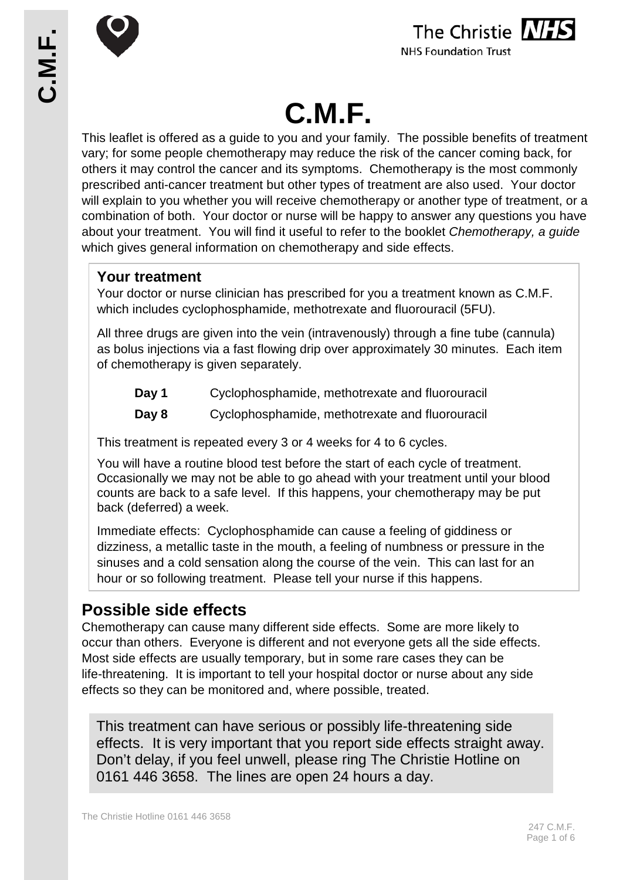



#### **NHS Foundation Trust**

# **C.M.F.**

This leaflet is offered as a guide to you and your family. The possible benefits of treatment vary; for some people chemotherapy may reduce the risk of the cancer coming back, for others it may control the cancer and its symptoms. Chemotherapy is the most commonly prescribed anti-cancer treatment but other types of treatment are also used. Your doctor will explain to you whether you will receive chemotherapy or another type of treatment, or a combination of both. Your doctor or nurse will be happy to answer any questions you have about your treatment. You will find it useful to refer to the booklet *Chemotherapy, a guide* which gives general information on chemotherapy and side effects.

# **Your treatment**

Your doctor or nurse clinician has prescribed for you a treatment known as C.M.F. which includes cyclophosphamide, methotrexate and fluorouracil (5FU).

All three drugs are given into the vein (intravenously) through a fine tube (cannula) as bolus injections via a fast flowing drip over approximately 30 minutes. Each item of chemotherapy is given separately.

- **Day 1** Cyclophosphamide, methotrexate and fluorouracil
- **Day 8** Cyclophosphamide, methotrexate and fluorouracil

This treatment is repeated every 3 or 4 weeks for 4 to 6 cycles.

You will have a routine blood test before the start of each cycle of treatment. Occasionally we may not be able to go ahead with your treatment until your blood counts are back to a safe level. If this happens, your chemotherapy may be put back (deferred) a week.

Immediate effects: Cyclophosphamide can cause a feeling of giddiness or dizziness, a metallic taste in the mouth, a feeling of numbness or pressure in the sinuses and a cold sensation along the course of the vein. This can last for an hour or so following treatment. Please tell your nurse if this happens.

# **Possible side effects**

Chemotherapy can cause many different side effects. Some are more likely to occur than others. Everyone is different and not everyone gets all the side effects. Most side effects are usually temporary, but in some rare cases they can be life-threatening. It is important to tell your hospital doctor or nurse about any side effects so they can be monitored and, where possible, treated.

This treatment can have serious or possibly life-threatening side effects. It is very important that you report side effects straight away. Don't delay, if you feel unwell, please ring The Christie Hotline on 0161 446 3658. The lines are open 24 hours a day.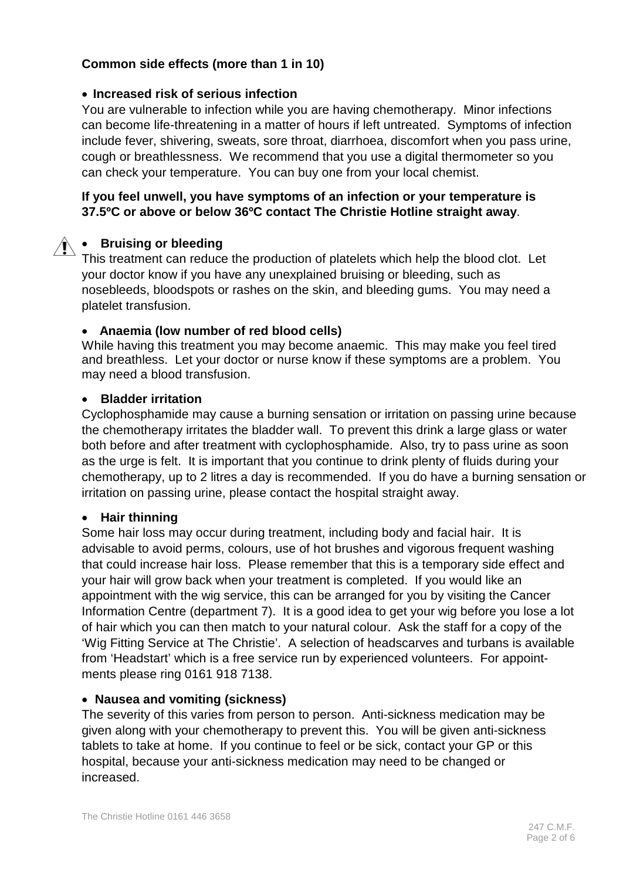#### **Common side effects (more than 1 in 10)**

#### • **Increased risk of serious infection**

You are vulnerable to infection while you are having chemotherapy. Minor infections can become life-threatening in a matter of hours if left untreated. Symptoms of infection include fever, shivering, sweats, sore throat, diarrhoea, discomfort when you pass urine, cough or breathlessness. We recommend that you use a digital thermometer so you can check your temperature. You can buy one from your local chemist.

### **If you feel unwell, you have symptoms of an infection or your temperature is 37.5ºC or above or below 36ºC contact The Christie Hotline straight away**.

#### • **Bruising or bleeding**

This treatment can reduce the production of platelets which help the blood clot. Let your doctor know if you have any unexplained bruising or bleeding, such as nosebleeds, bloodspots or rashes on the skin, and bleeding gums. You may need a platelet transfusion.

#### • **Anaemia (low number of red blood cells)**

While having this treatment you may become anaemic. This may make you feel tired and breathless. Let your doctor or nurse know if these symptoms are a problem. You may need a blood transfusion.

#### • **Bladder irritation**

Cyclophosphamide may cause a burning sensation or irritation on passing urine because the chemotherapy irritates the bladder wall. To prevent this drink a large glass or water both before and after treatment with cyclophosphamide. Also, try to pass urine as soon as the urge is felt. It is important that you continue to drink plenty of fluids during your chemotherapy, up to 2 litres a day is recommended. If you do have a burning sensation or irritation on passing urine, please contact the hospital straight away.

#### • **Hair thinning**

Some hair loss may occur during treatment, including body and facial hair. It is advisable to avoid perms, colours, use of hot brushes and vigorous frequent washing that could increase hair loss. Please remember that this is a temporary side effect and your hair will grow back when your treatment is completed. If you would like an appointment with the wig service, this can be arranged for you by visiting the Cancer Information Centre (department 7). It is a good idea to get your wig before you lose a lot of hair which you can then match to your natural colour. Ask the staff for a copy of the 'Wig Fitting Service at The Christie'. A selection of headscarves and turbans is available from 'Headstart' which is a free service run by experienced volunteers. For appointments please ring 0161 918 7138.

#### • **Nausea and vomiting (sickness)**

The severity of this varies from person to person. Anti-sickness medication may be given along with your chemotherapy to prevent this. You will be given anti-sickness tablets to take at home. If you continue to feel or be sick, contact your GP or this hospital, because your anti-sickness medication may need to be changed or increased.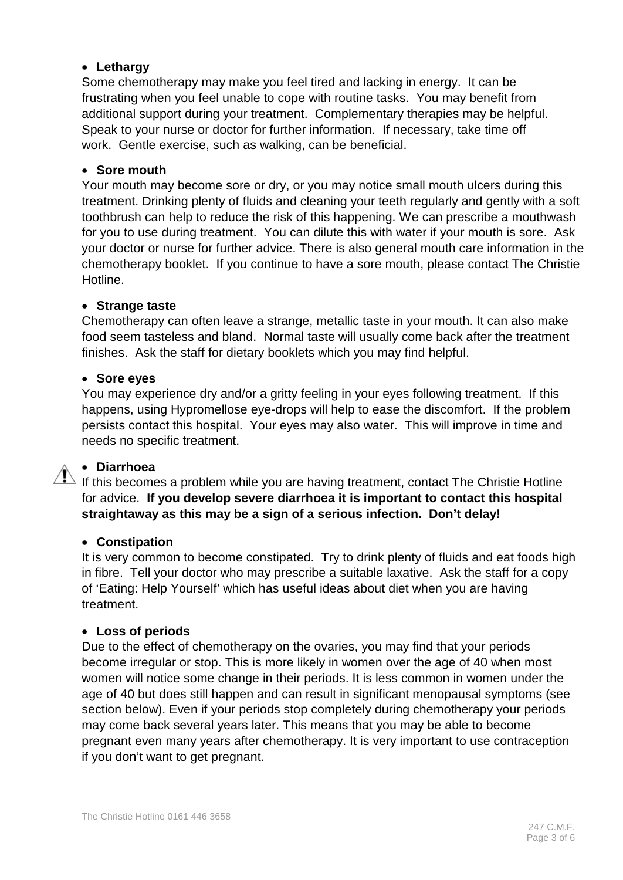#### • **Lethargy**

Some chemotherapy may make you feel tired and lacking in energy. It can be frustrating when you feel unable to cope with routine tasks. You may benefit from additional support during your treatment. Complementary therapies may be helpful. Speak to your nurse or doctor for further information. If necessary, take time off work. Gentle exercise, such as walking, can be beneficial.

#### • **Sore mouth**

Your mouth may become sore or dry, or you may notice small mouth ulcers during this treatment. Drinking plenty of fluids and cleaning your teeth regularly and gently with a soft toothbrush can help to reduce the risk of this happening. We can prescribe a mouthwash for you to use during treatment. You can dilute this with water if your mouth is sore. Ask your doctor or nurse for further advice. There is also general mouth care information in the chemotherapy booklet. If you continue to have a sore mouth, please contact The Christie Hotline.

#### • **Strange taste**

Chemotherapy can often leave a strange, metallic taste in your mouth. It can also make food seem tasteless and bland. Normal taste will usually come back after the treatment finishes. Ask the staff for dietary booklets which you may find helpful.

#### • **Sore eyes**

You may experience dry and/or a gritty feeling in your eyes following treatment. If this happens, using Hypromellose eye-drops will help to ease the discomfort. If the problem persists contact this hospital. Your eyes may also water. This will improve in time and needs no specific treatment.

#### • **Diarrhoea**

If this becomes a problem while you are having treatment, contact The Christie Hotline for advice. **If you develop severe diarrhoea it is important to contact this hospital straightaway as this may be a sign of a serious infection. Don't delay!**

#### • **Constipation**

It is very common to become constipated. Try to drink plenty of fluids and eat foods high in fibre. Tell your doctor who may prescribe a suitable laxative. Ask the staff for a copy of 'Eating: Help Yourself' which has useful ideas about diet when you are having treatment.

#### • **Loss of periods**

Due to the effect of chemotherapy on the ovaries, you may find that your periods become irregular or stop. This is more likely in women over the age of 40 when most women will notice some change in their periods. It is less common in women under the age of 40 but does still happen and can result in significant menopausal symptoms (see section below). Even if your periods stop completely during chemotherapy your periods may come back several years later. This means that you may be able to become pregnant even many years after chemotherapy. It is very important to use contraception if you don't want to get pregnant.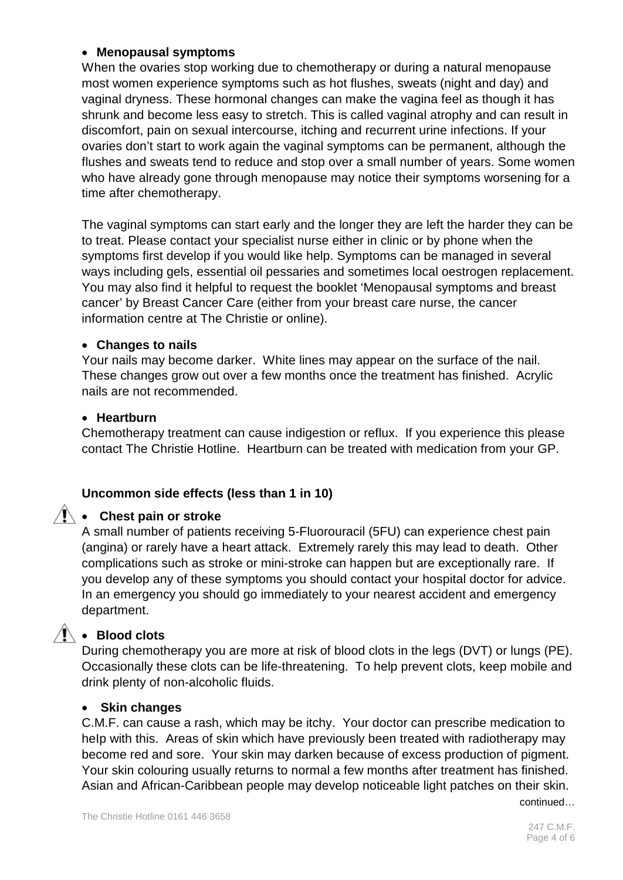#### • **Menopausal symptoms**

When the ovaries stop working due to chemotherapy or during a natural menopause most women experience symptoms such as hot flushes, sweats (night and day) and vaginal dryness. These hormonal changes can make the vagina feel as though it has shrunk and become less easy to stretch. This is called vaginal atrophy and can result in discomfort, pain on sexual intercourse, itching and recurrent urine infections. If your ovaries don't start to work again the vaginal symptoms can be permanent, although the flushes and sweats tend to reduce and stop over a small number of years. Some women who have already gone through menopause may notice their symptoms worsening for a time after chemotherapy.

The vaginal symptoms can start early and the longer they are left the harder they can be to treat. Please contact your specialist nurse either in clinic or by phone when the symptoms first develop if you would like help. Symptoms can be managed in several ways including gels, essential oil pessaries and sometimes local oestrogen replacement. You may also find it helpful to request the booklet 'Menopausal symptoms and breast cancer' by Breast Cancer Care (either from your breast care nurse, the cancer information centre at The Christie or online).

#### • **Changes to nails**

Your nails may become darker. White lines may appear on the surface of the nail. These changes grow out over a few months once the treatment has finished. Acrylic nails are not recommended.

#### • **Heartburn**

Chemotherapy treatment can cause indigestion or reflux. If you experience this please contact The Christie Hotline. Heartburn can be treated with medication from your GP.

#### **Uncommon side effects (less than 1 in 10)**

#### • **Chest pain or stroke**

A small number of patients receiving 5-Fluorouracil (5FU) can experience chest pain (angina) or rarely have a heart attack. Extremely rarely this may lead to death. Other complications such as stroke or mini-stroke can happen but are exceptionally rare. If you develop any of these symptoms you should contact your hospital doctor for advice. In an emergency you should go immediately to your nearest accident and emergency department.

# • **Blood clots**

During chemotherapy you are more at risk of blood clots in the legs (DVT) or lungs (PE). Occasionally these clots can be life-threatening. To help prevent clots, keep mobile and drink plenty of non-alcoholic fluids.

#### • **Skin changes**

C.M.F. can cause a rash, which may be itchy. Your doctor can prescribe medication to help with this. Areas of skin which have previously been treated with radiotherapy may become red and sore. Your skin may darken because of excess production of pigment. Your skin colouring usually returns to normal a few months after treatment has finished. Asian and African-Caribbean people may develop noticeable light patches on their skin.

continued…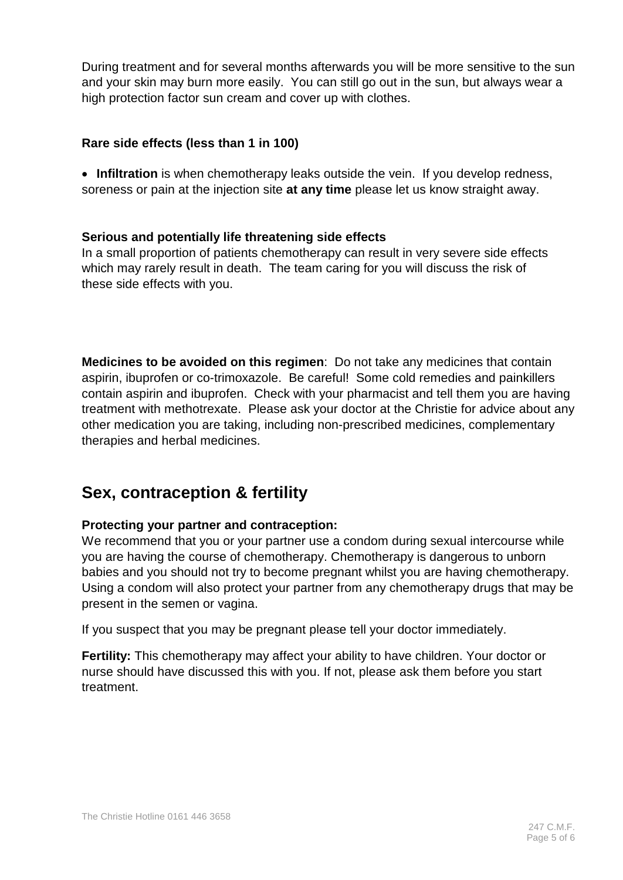During treatment and for several months afterwards you will be more sensitive to the sun and your skin may burn more easily. You can still go out in the sun, but always wear a high protection factor sun cream and cover up with clothes.

#### **Rare side effects (less than 1 in 100)**

• **Infiltration** is when chemotherapy leaks outside the vein. If you develop redness, soreness or pain at the injection site **at any time** please let us know straight away.

## **Serious and potentially life threatening side effects**

In a small proportion of patients chemotherapy can result in very severe side effects which may rarely result in death. The team caring for you will discuss the risk of these side effects with you.

**Medicines to be avoided on this regimen**: Do not take any medicines that contain aspirin, ibuprofen or co-trimoxazole. Be careful! Some cold remedies and painkillers contain aspirin and ibuprofen. Check with your pharmacist and tell them you are having treatment with methotrexate. Please ask your doctor at the Christie for advice about any other medication you are taking, including non-prescribed medicines, complementary therapies and herbal medicines.

# **Sex, contraception & fertility**

# **Protecting your partner and contraception:**

We recommend that you or your partner use a condom during sexual intercourse while you are having the course of chemotherapy. Chemotherapy is dangerous to unborn babies and you should not try to become pregnant whilst you are having chemotherapy. Using a condom will also protect your partner from any chemotherapy drugs that may be present in the semen or vagina.

If you suspect that you may be pregnant please tell your doctor immediately.

**Fertility:** This chemotherapy may affect your ability to have children. Your doctor or nurse should have discussed this with you. If not, please ask them before you start treatment.